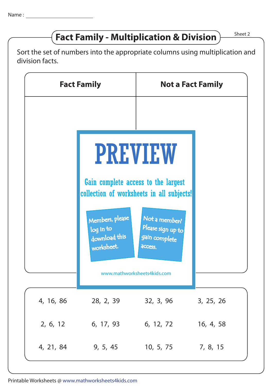## **Fact Family - Multiplication & Division**  $\right)$  Sheet 2

Sort the set of numbers into the appropriate columns using multiplication and division facts.

|           | <b>Fact Family</b>                                                                                 | <b>Not a Fact Family</b>                                       |           |
|-----------|----------------------------------------------------------------------------------------------------|----------------------------------------------------------------|-----------|
|           | <b>PREVIEW</b><br>Gain complete access to the largest<br>collection of worksheets in all subjects! |                                                                |           |
|           | Members, please<br>log in to<br>download this<br>worksheet.                                        | Not a member?<br>Please sign up to<br>gain complete<br>access. |           |
|           | www.mathworksheets4kids.com                                                                        |                                                                |           |
| 4, 16, 86 | 28, 2, 39                                                                                          | 32, 3, 96                                                      | 3, 25, 26 |
| 2, 6, 12  | 6, 17, 93                                                                                          | 6, 12, 72                                                      | 16, 4, 58 |
| 4, 21, 84 | 9, 5, 45                                                                                           | 10, 5, 75                                                      | 7, 8, 15  |